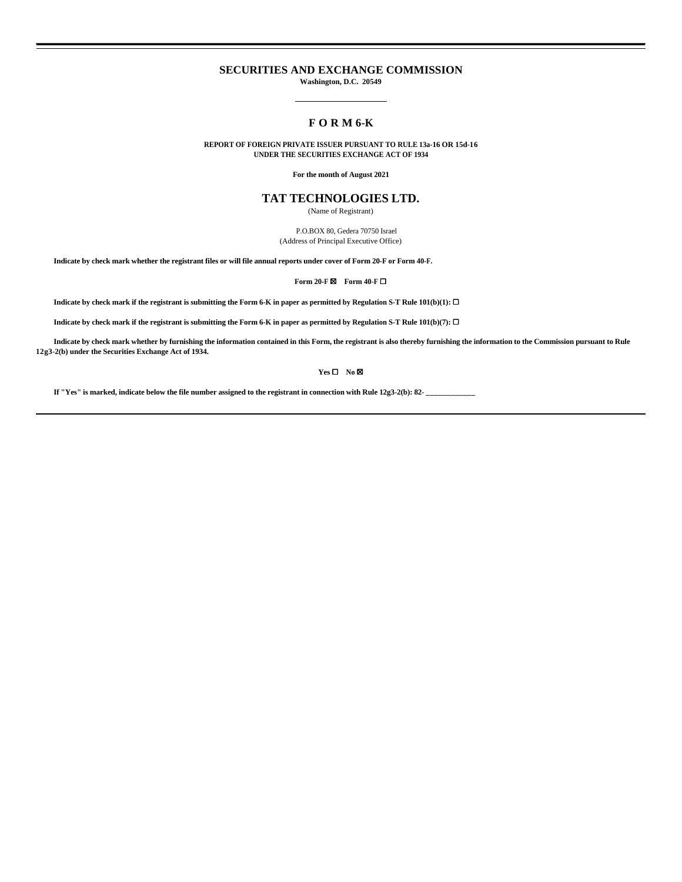### **SECURITIES AND EXCHANGE COMMISSION**

**Washington, D.C. 20549**

# **F O R M 6-K**

**REPORT OF FOREIGN PRIVATE ISSUER PURSUANT TO RULE 13a-16 OR 15d-16 UNDER THE SECURITIES EXCHANGE ACT OF 1934**

**For the month of August 2021**

## **TAT TECHNOLOGIES LTD.**

(Name of Registrant)

 P.O.BOX 80, Gedera 70750 Israel (Address of Principal Executive Office)

**Indicate by check mark whether the registrant files or will file annual reports under cover of Form 20-F or Form 40-F.**

**Form 20-F ⊠ Form 40-F** □

**Indicate by check mark if the registrant is submitting the Form 6-K in paper as permitted by Regulation S-T Rule 101(b)(1):** ☐

**Indicate by check mark if the registrant is submitting the Form 6-K in paper as permitted by Regulation S-T Rule 101(b)(7):** ☐

 **Indicate by check mark whether by furnishing the information contained in this Form, the registrant is also thereby furnishing the information to the Commission pursuant to Rule 12g3-2(b) under the Securities Exchange Act of 1934.**

**Yes** ☐ **No** ☒

If "Yes" is marked, indicate below the file number assigned to the registrant in connection with Rule 12g3-2(b): 82-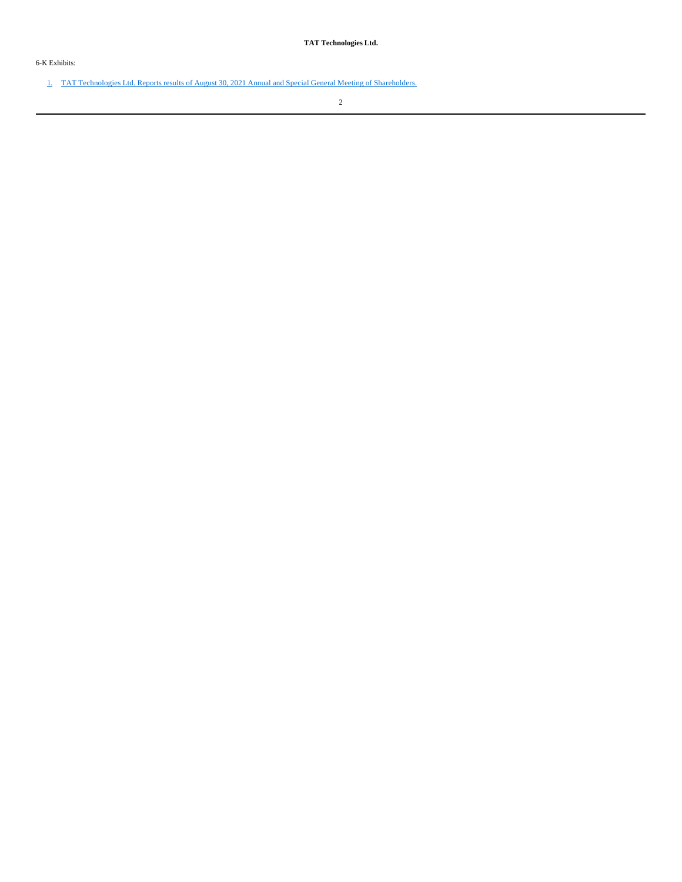6-K Exhibits:

1. TAT Technologies Ltd. Reports results of August 30, 2021 Annual and Special General Meeting of Shareholders.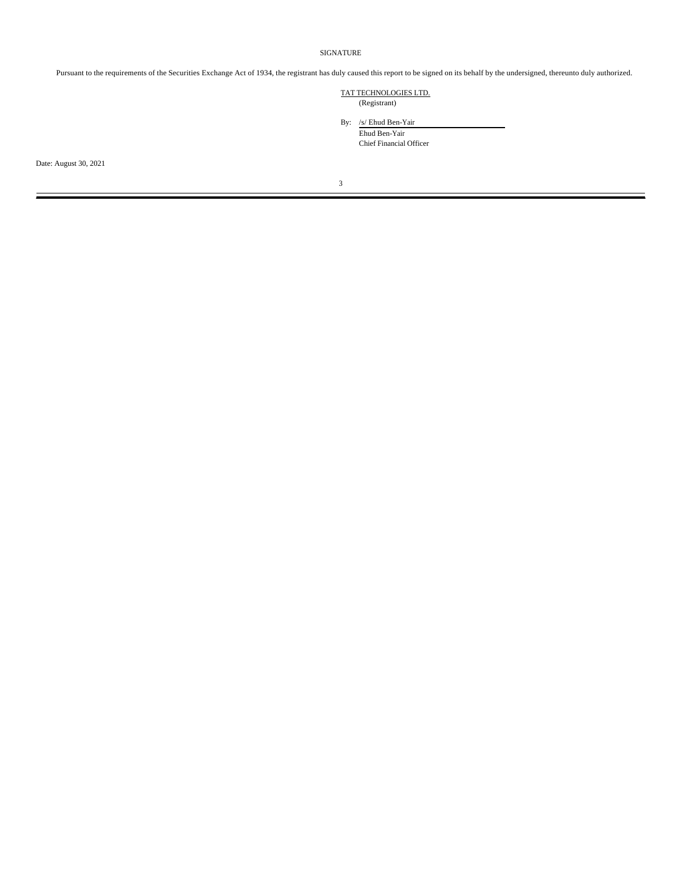#### SIGNATURE

Pursuant to the requirements of the Securities Exchange Act of 1934, the registrant has duly caused this report to be signed on its behalf by the undersigned, thereunto duly authorized.

### TAT TECHNOLOGIES LTD. (Registrant)

By: /s/ Ehud Ben-Yair Ehud Ben-Yair Chief Financial Officer

Date: August 30, 2021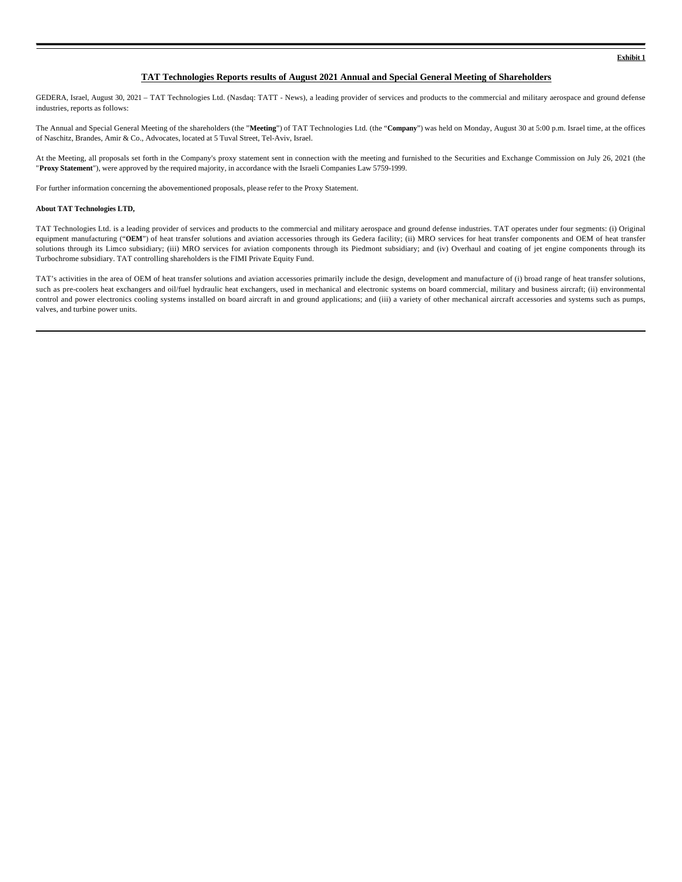**Exhibit 1**

### **TAT Technologies Reports results of August 2021 Annual and Special General Meeting of Shareholders**

GEDERA, Israel, August 30, 2021 - TAT Technologies Ltd. (Nasdaq: TATT - News), a leading provider of services and products to the commercial and military aerospace and ground defense industries, reports as follows:

The Annual and Special General Meeting of the shareholders (the "**Meeting**") of TAT Technologies Ltd. (the "**Company**") was held on Monday, August 30 at 5:00 p.m. Israel time, at the offices of Naschitz, Brandes, Amir & Co., Advocates, located at 5 Tuval Street, Tel-Aviv, Israel.

At the Meeting, all proposals set forth in the Company's proxy statement sent in connection with the meeting and furnished to the Securities and Exchange Commission on July 26, 2021 (the "**Proxy Statement**"), were approved by the required majority, in accordance with the Israeli Companies Law 5759-1999.

For further information concerning the abovementioned proposals, please refer to the Proxy Statement.

#### **About TAT Technologies LTD,**

TAT Technologies Ltd. is a leading provider of services and products to the commercial and military aerospace and ground defense industries. TAT operates under four segments: (i) Original equipment manufacturing ("OEM") of heat transfer solutions and aviation accessories through its Gedera facility; (ii) MRO services for heat transfer components and OEM of heat transfer solutions through its Limco subsidiary; (iii) MRO services for aviation components through its Piedmont subsidiary; and (iv) Overhaul and coating of jet engine components through its Turbochrome subsidiary. TAT controlling shareholders is the FIMI Private Equity Fund.

TAT's activities in the area of OEM of heat transfer solutions and aviation accessories primarily include the design, development and manufacture of (i) broad range of heat transfer solutions, such as pre-coolers heat exchangers and oil/fuel hydraulic heat exchangers, used in mechanical and electronic systems on board commercial, military and business aircraft; (ii) environmental control and power electronics cooling systems installed on board aircraft in and ground applications; and (iii) a variety of other mechanical aircraft accessories and systems such as pumps, valves, and turbine power units.